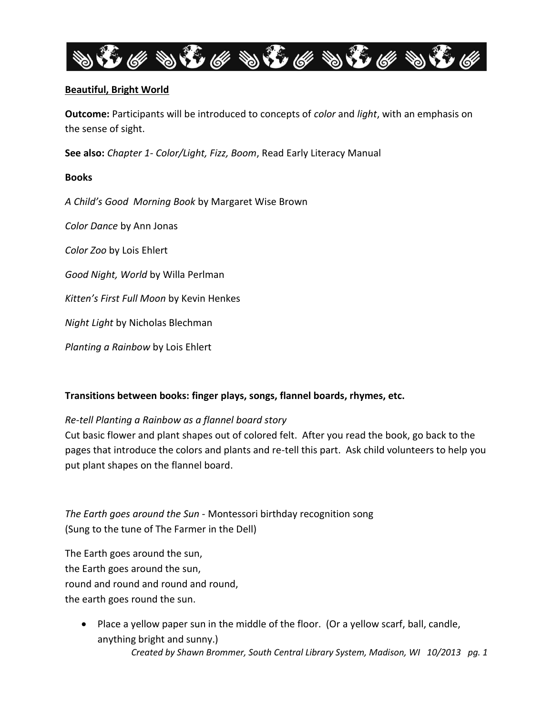

# **Beautiful, Bright World**

**Outcome:** Participants will be introduced to concepts of *color* and *light*, with an emphasis on the sense of sight.

**See also:** *Chapter 1- Color/Light, Fizz, Boom*, Read Early Literacy Manual

# **Books**

*A Child's Good Morning Book* by Margaret Wise Brown

*Color Dance* by Ann Jonas

*Color Zoo* by Lois Ehlert

*Good Night, World* by Willa Perlman

*Kitten's First Full Moon* by Kevin Henkes

*Night Light* by Nicholas Blechman

*Planting a Rainbow* by Lois Ehlert

# **Transitions between books: finger plays, songs, flannel boards, rhymes, etc.**

# *Re-tell Planting a Rainbow as a flannel board story*

Cut basic flower and plant shapes out of colored felt. After you read the book, go back to the pages that introduce the colors and plants and re-tell this part. Ask child volunteers to help you put plant shapes on the flannel board.

*The Earth goes around the Sun* - Montessori birthday recognition song (Sung to the tune of The Farmer in the Dell)

The Earth goes around the sun, the Earth goes around the sun, round and round and round and round, the earth goes round the sun.

*Created by Shawn Brommer, South Central Library System, Madison, WI 10/2013 pg. 1* • Place a yellow paper sun in the middle of the floor. (Or a yellow scarf, ball, candle, anything bright and sunny.)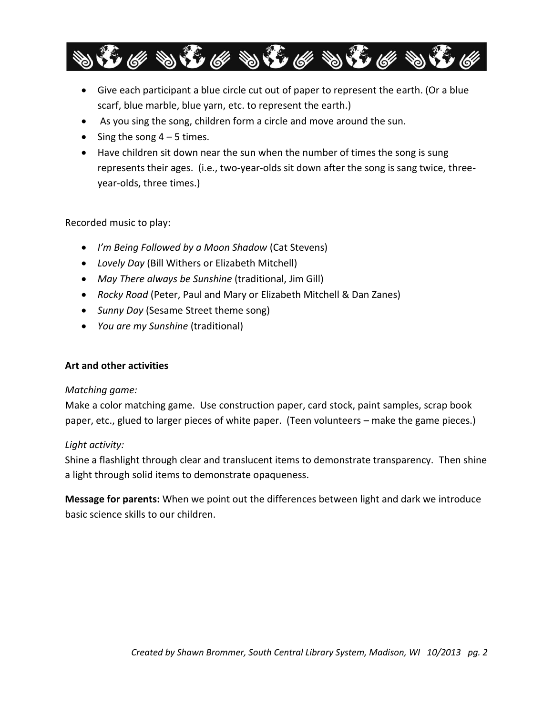

- Give each participant a blue circle cut out of paper to represent the earth. (Or a blue scarf, blue marble, blue yarn, etc. to represent the earth.)
- As you sing the song, children form a circle and move around the sun.
- Sing the song  $4 5$  times.
- Have children sit down near the sun when the number of times the song is sung represents their ages. (i.e., two-year-olds sit down after the song is sang twice, threeyear-olds, three times.)

# Recorded music to play:

- *I'm Being Followed by a Moon Shadow* (Cat Stevens)
- *Lovely Day* (Bill Withers or Elizabeth Mitchell)
- *May There always be Sunshine* (traditional, Jim Gill)
- *Rocky Road* (Peter, Paul and Mary or Elizabeth Mitchell & Dan Zanes)
- *Sunny Day* (Sesame Street theme song)
- *You are my Sunshine* (traditional)

# **Art and other activities**

# *Matching game:*

Make a color matching game. Use construction paper, card stock, paint samples, scrap book paper, etc., glued to larger pieces of white paper. (Teen volunteers – make the game pieces.)

# *Light activity:*

Shine a flashlight through clear and translucent items to demonstrate transparency. Then shine a light through solid items to demonstrate opaqueness.

**Message for parents:** When we point out the differences between light and dark we introduce basic science skills to our children.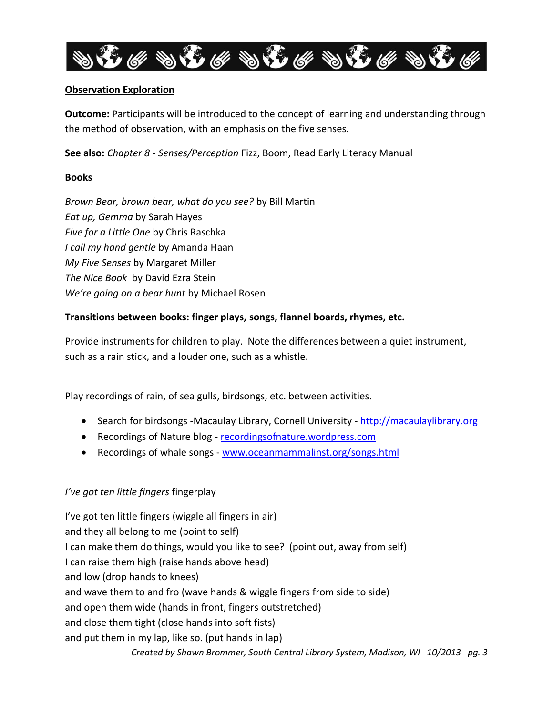

# **Observation Exploration**

**Outcome:** Participants will be introduced to the concept of learning and understanding through the method of observation, with an emphasis on the five senses.

**See also:** *Chapter 8 - Senses/Perception* Fizz, Boom, Read Early Literacy Manual

#### **Books**

*Brown Bear, brown bear, what do you see?* by Bill Martin *Eat up, Gemma* by Sarah Hayes *Five for a Little One* by Chris Raschka *I call my hand gentle* by Amanda Haan *My Five Senses* by Margaret Miller *The Nice Book* by David Ezra Stein *We're going on a bear hunt* by Michael Rosen

# **Transitions between books: finger plays, songs, flannel boards, rhymes, etc.**

Provide instruments for children to play. Note the differences between a quiet instrument, such as a rain stick, and a louder one, such as a whistle.

Play recordings of rain, of sea gulls, birdsongs, etc. between activities.

- Search for birdsongs -Macaulay Library, Cornell University [http://macaulaylibrary.org](http://macaulaylibrary.org/)
- Recordings of Nature blog recordingsofnature.wordpress.com
- Recordings of whale songs [www.oceanmammalinst.org/songs.html](http://www.oceanmammalinst.org/songs.html)

# *I've got ten little fingers* fingerplay

*Created by Shawn Brommer, South Central Library System, Madison, WI 10/2013 pg. 3* I've got ten little fingers (wiggle all fingers in air) and they all belong to me (point to self) I can make them do things, would you like to see? (point out, away from self) I can raise them high (raise hands above head) and low (drop hands to knees) and wave them to and fro (wave hands & wiggle fingers from side to side) and open them wide (hands in front, fingers outstretched) and close them tight (close hands into soft fists) and put them in my lap, like so. (put hands in lap)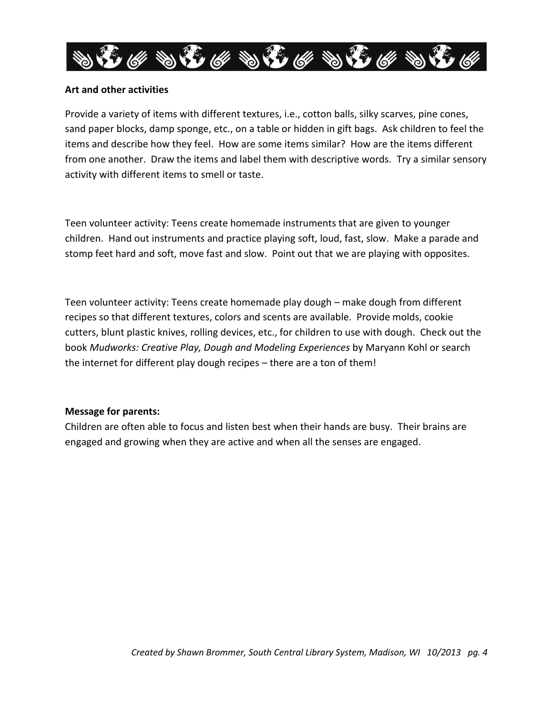

#### **Art and other activities**

Provide a variety of items with different textures, i.e., cotton balls, silky scarves, pine cones, sand paper blocks, damp sponge, etc., on a table or hidden in gift bags. Ask children to feel the items and describe how they feel. How are some items similar? How are the items different from one another. Draw the items and label them with descriptive words. Try a similar sensory activity with different items to smell or taste.

Teen volunteer activity: Teens create homemade instruments that are given to younger children. Hand out instruments and practice playing soft, loud, fast, slow. Make a parade and stomp feet hard and soft, move fast and slow. Point out that we are playing with opposites.

Teen volunteer activity: Teens create homemade play dough – make dough from different recipes so that different textures, colors and scents are available. Provide molds, cookie cutters, blunt plastic knives, rolling devices, etc., for children to use with dough. Check out the book *Mudworks: Creative Play, Dough and Modeling Experiences* by Maryann Kohl or search the internet for different play dough recipes – there are a ton of them!

#### **Message for parents:**

Children are often able to focus and listen best when their hands are busy. Their brains are engaged and growing when they are active and when all the senses are engaged.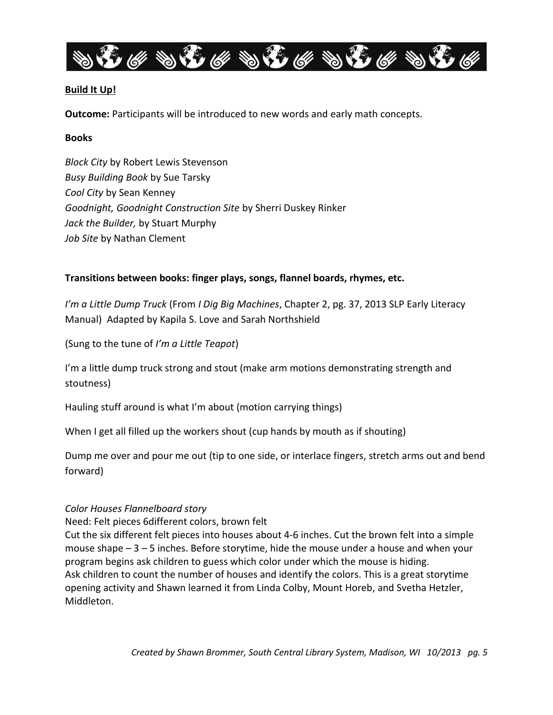

# **Build It Up!**

**Outcome:** Participants will be introduced to new words and early math concepts.

#### **Books**

*Block City* by Robert Lewis Stevenson *Busy Building Book* by Sue Tarsky *Cool City* by Sean Kenney *Goodnight, Goodnight Construction Site* by Sherri Duskey Rinker *Jack the Builder,* by Stuart Murphy *Job Site* by Nathan Clement

# **Transitions between books: finger plays, songs, flannel boards, rhymes, etc.**

*I'm a Little Dump Truck* (From *I Dig Big Machines*, Chapter 2, pg. 37, 2013 SLP Early Literacy Manual) Adapted by Kapila S. Love and Sarah Northshield

(Sung to the tune of *I'm a Little Teapot*)

I'm a little dump truck strong and stout (make arm motions demonstrating strength and stoutness)

Hauling stuff around is what I'm about (motion carrying things)

When I get all filled up the workers shout (cup hands by mouth as if shouting)

Dump me over and pour me out (tip to one side, or interlace fingers, stretch arms out and bend forward)

# *Color Houses Flannelboard story*

Need: Felt pieces 6different colors, brown felt

Cut the six different felt pieces into houses about 4-6 inches. Cut the brown felt into a simple mouse shape – 3 – 5 inches. Before storytime, hide the mouse under a house and when your program begins ask children to guess which color under which the mouse is hiding. Ask children to count the number of houses and identify the colors. This is a great storytime opening activity and Shawn learned it from Linda Colby, Mount Horeb, and Svetha Hetzler, Middleton.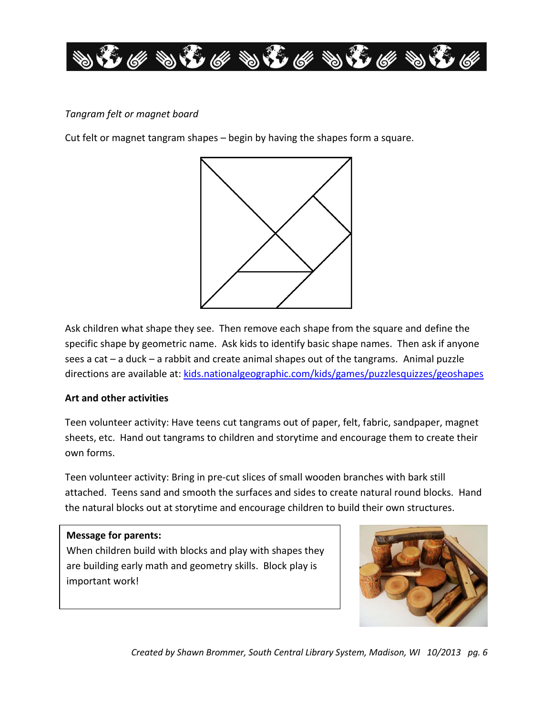

# *Tangram felt or magnet board*

Cut felt or magnet tangram shapes – begin by having the shapes form a square.



Ask children what shape they see. Then remove each shape from the square and define the specific shape by geometric name. Ask kids to identify basic shape names. Then ask if anyone sees a cat – a duck – a rabbit and create animal shapes out of the tangrams. Animal puzzle directions are available at: [kids.nationalgeographic.com/kids/games/puzzlesquizzes/geoshapes](http://kids.nationalgeographic.com/kids/games/puzzlesquizzes/geoshapes/)

# **Art and other activities**

Teen volunteer activity: Have teens cut tangrams out of paper, felt, fabric, sandpaper, magnet sheets, etc. Hand out tangrams to children and storytime and encourage them to create their own forms.

Teen volunteer activity: Bring in pre-cut slices of small wooden branches with bark still attached. Teens sand and smooth the surfaces and sides to create natural round blocks. Hand the natural blocks out at storytime and encourage children to build their own structures.

# **Message for parents:**

When children build with blocks and play with shapes they are building early math and geometry skills. Block play is important work!



*Created by Shawn Brommer, South Central Library System, Madison, WI 10/2013 pg. 6*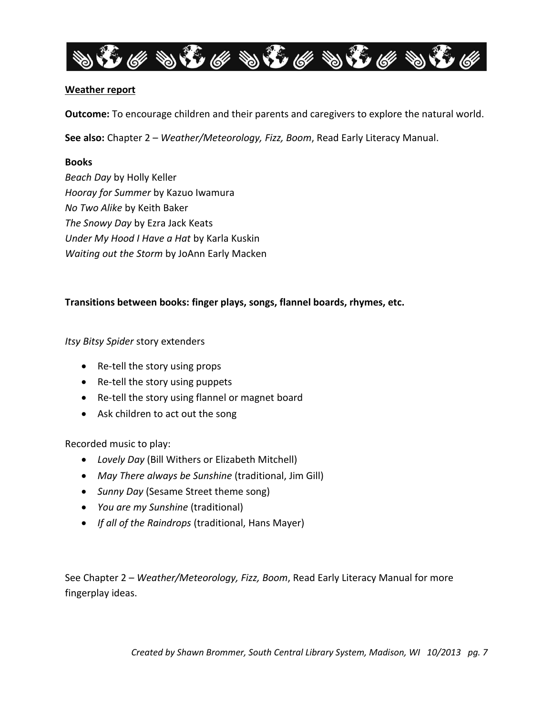

#### **Weather report**

**Outcome:** To encourage children and their parents and caregivers to explore the natural world.

**See also:** Chapter 2 – *Weather/Meteorology, Fizz, Boom*, Read Early Literacy Manual.

#### **Books**

*Beach Day* by Holly Keller *Hooray for Summer* by Kazuo Iwamura *No Two Alike* by Keith Baker *The Snowy Day* by Ezra Jack Keats *Under My Hood I Have a Hat* by Karla Kuskin *Waiting out the Storm* by JoAnn Early Macken

# **Transitions between books: finger plays, songs, flannel boards, rhymes, etc.**

#### *Itsy Bitsy Spider* story extenders

- Re-tell the story using props
- Re-tell the story using puppets
- Re-tell the story using flannel or magnet board
- Ask children to act out the song

Recorded music to play:

- *Lovely Day* (Bill Withers or Elizabeth Mitchell)
- *May There always be Sunshine* (traditional, Jim Gill)
- *Sunny Day* (Sesame Street theme song)
- *You are my Sunshine* (traditional)
- *If all of the Raindrops* (traditional, Hans Mayer)

See Chapter 2 – *Weather/Meteorology, Fizz, Boom*, Read Early Literacy Manual for more fingerplay ideas.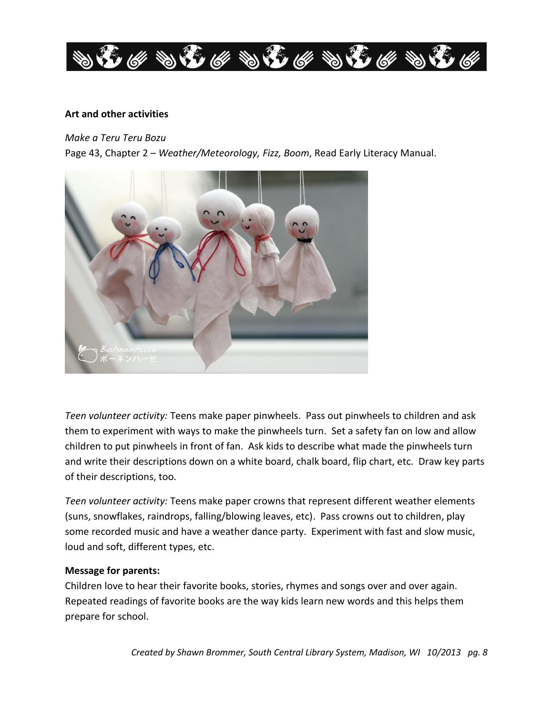

#### **Art and other activities**

*Make a Teru Teru Bozu*

Page 43, Chapter 2 – *Weather/Meteorology, Fizz, Boom*, Read Early Literacy Manual.



*Teen volunteer activity:* Teens make paper pinwheels. Pass out pinwheels to children and ask them to experiment with ways to make the pinwheels turn. Set a safety fan on low and allow children to put pinwheels in front of fan. Ask kids to describe what made the pinwheels turn and write their descriptions down on a white board, chalk board, flip chart, etc. Draw key parts of their descriptions, too.

*Teen volunteer activity:* Teens make paper crowns that represent different weather elements (suns, snowflakes, raindrops, falling/blowing leaves, etc). Pass crowns out to children, play some recorded music and have a weather dance party. Experiment with fast and slow music, loud and soft, different types, etc.

#### **Message for parents:**

Children love to hear their favorite books, stories, rhymes and songs over and over again. Repeated readings of favorite books are the way kids learn new words and this helps them prepare for school.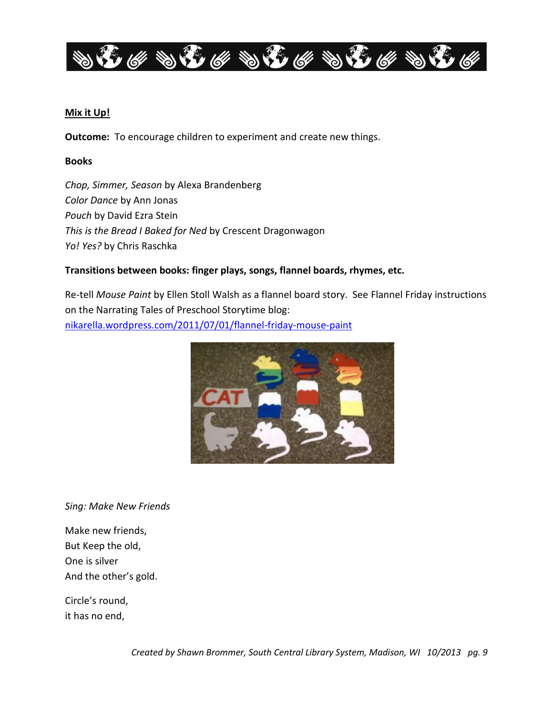

#### **Mix it Up!**

**Outcome:** To encourage children to experiment and create new things.

#### **Books**

*Chop, Simmer, Season* by Alexa Brandenberg *Color Dance* by Ann Jonas *Pouch* by David Ezra Stein *This is the Bread I Baked for Ned* by Crescent Dragonwagon *Yo! Yes?* by Chris Raschka

# **Transitions between books: finger plays, songs, flannel boards, rhymes, etc.**

Re-tell *Mouse Paint* by Ellen Stoll Walsh as a flannel board story. See Flannel Friday instructions on the Narrating Tales of Preschool Storytime blog: [nikarella.wordpress.com/2011/07/01/flannel-friday-mouse-paint](http://nikarella.wordpress.com/2011/07/01/flannel-friday-mouse-paint/)



*Sing: Make New Friends*

Make new friends, But Keep the old, One is silver And the other's gold.

Circle's round, it has no end,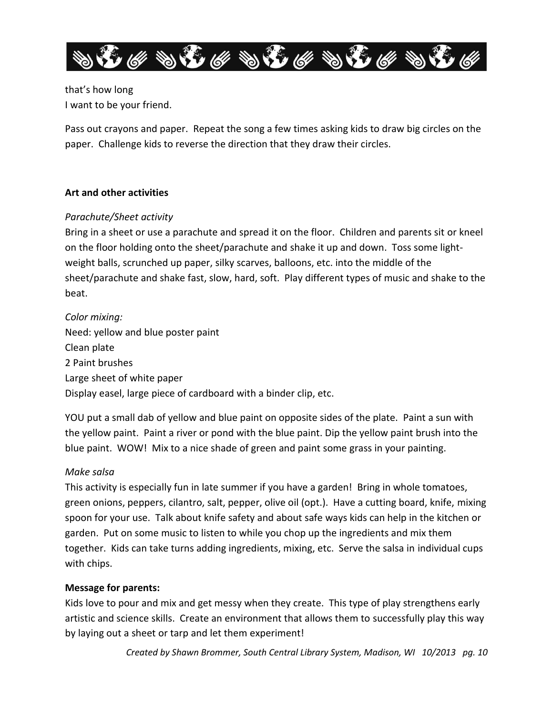

that's how long I want to be your friend.

Pass out crayons and paper. Repeat the song a few times asking kids to draw big circles on the paper. Challenge kids to reverse the direction that they draw their circles.

# **Art and other activities**

# *Parachute/Sheet activity*

Bring in a sheet or use a parachute and spread it on the floor. Children and parents sit or kneel on the floor holding onto the sheet/parachute and shake it up and down. Toss some lightweight balls, scrunched up paper, silky scarves, balloons, etc. into the middle of the sheet/parachute and shake fast, slow, hard, soft. Play different types of music and shake to the beat.

# *Color mixing:* Need: yellow and blue poster paint Clean plate 2 Paint brushes Large sheet of white paper Display easel, large piece of cardboard with a binder clip, etc.

YOU put a small dab of yellow and blue paint on opposite sides of the plate. Paint a sun with the yellow paint. Paint a river or pond with the blue paint. Dip the yellow paint brush into the blue paint. WOW! Mix to a nice shade of green and paint some grass in your painting.

# *Make salsa*

This activity is especially fun in late summer if you have a garden! Bring in whole tomatoes, green onions, peppers, cilantro, salt, pepper, olive oil (opt.). Have a cutting board, knife, mixing spoon for your use. Talk about knife safety and about safe ways kids can help in the kitchen or garden. Put on some music to listen to while you chop up the ingredients and mix them together. Kids can take turns adding ingredients, mixing, etc. Serve the salsa in individual cups with chips.

# **Message for parents:**

Kids love to pour and mix and get messy when they create. This type of play strengthens early artistic and science skills. Create an environment that allows them to successfully play this way by laying out a sheet or tarp and let them experiment!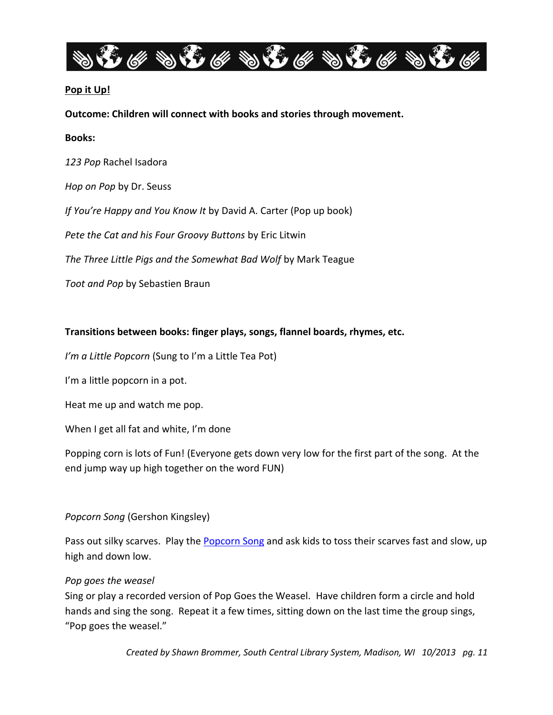

# **Pop it Up!**

**Outcome: Children will connect with books and stories through movement.**

#### **Books:**

*123 Pop* Rachel Isadora

*Hop on Pop* by Dr. Seuss

*If You're Happy and You Know It* by David A. Carter (Pop up book)

*Pete the Cat and his Four Groovy Buttons* by Eric Litwin

*The Three Little Pigs and the Somewhat Bad Wolf* by Mark Teague

*Toot and Pop* by Sebastien Braun

#### **Transitions between books: finger plays, songs, flannel boards, rhymes, etc.**

*I'm a Little Popcorn* (Sung to I'm a Little Tea Pot)

I'm a little popcorn in a pot.

Heat me up and watch me pop.

When I get all fat and white, I'm done

Popping corn is lots of Fun! (Everyone gets down very low for the first part of the song. At the end jump way up high together on the word FUN)

# *Popcorn Song* (Gershon Kingsley)

Pass out silky scarves. Play the **Popcorn Song** and ask kids to toss their scarves fast and slow, up high and down low.

# *Pop goes the weasel*

Sing or play a recorded version of Pop Goes the Weasel. Have children form a circle and hold hands and sing the song. Repeat it a few times, sitting down on the last time the group sings, "Pop goes the weasel."

*Created by Shawn Brommer, South Central Library System, Madison, WI 10/2013 pg. 11*